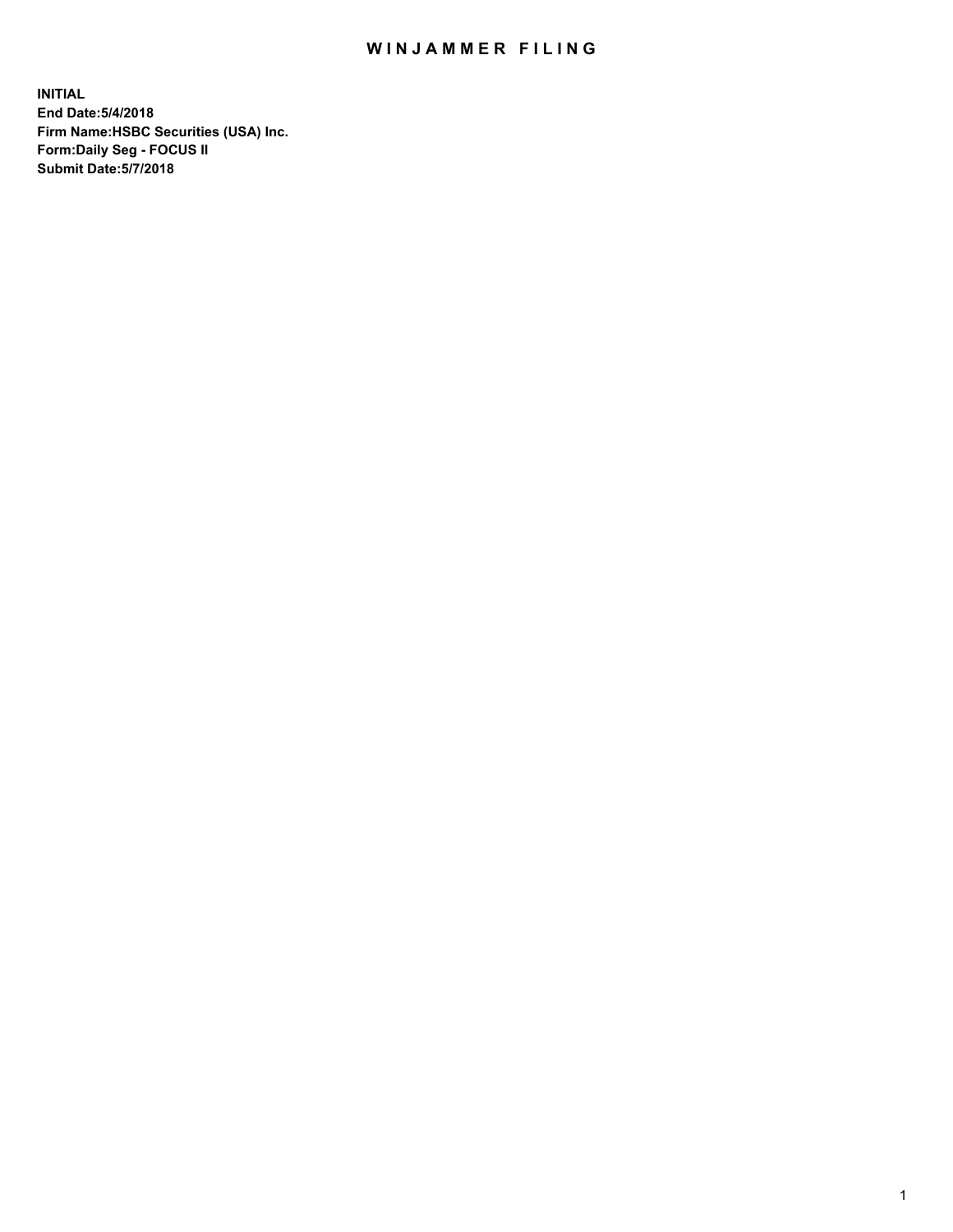## WIN JAMMER FILING

**INITIAL End Date:5/4/2018 Firm Name:HSBC Securities (USA) Inc. Form:Daily Seg - FOCUS II Submit Date:5/7/2018**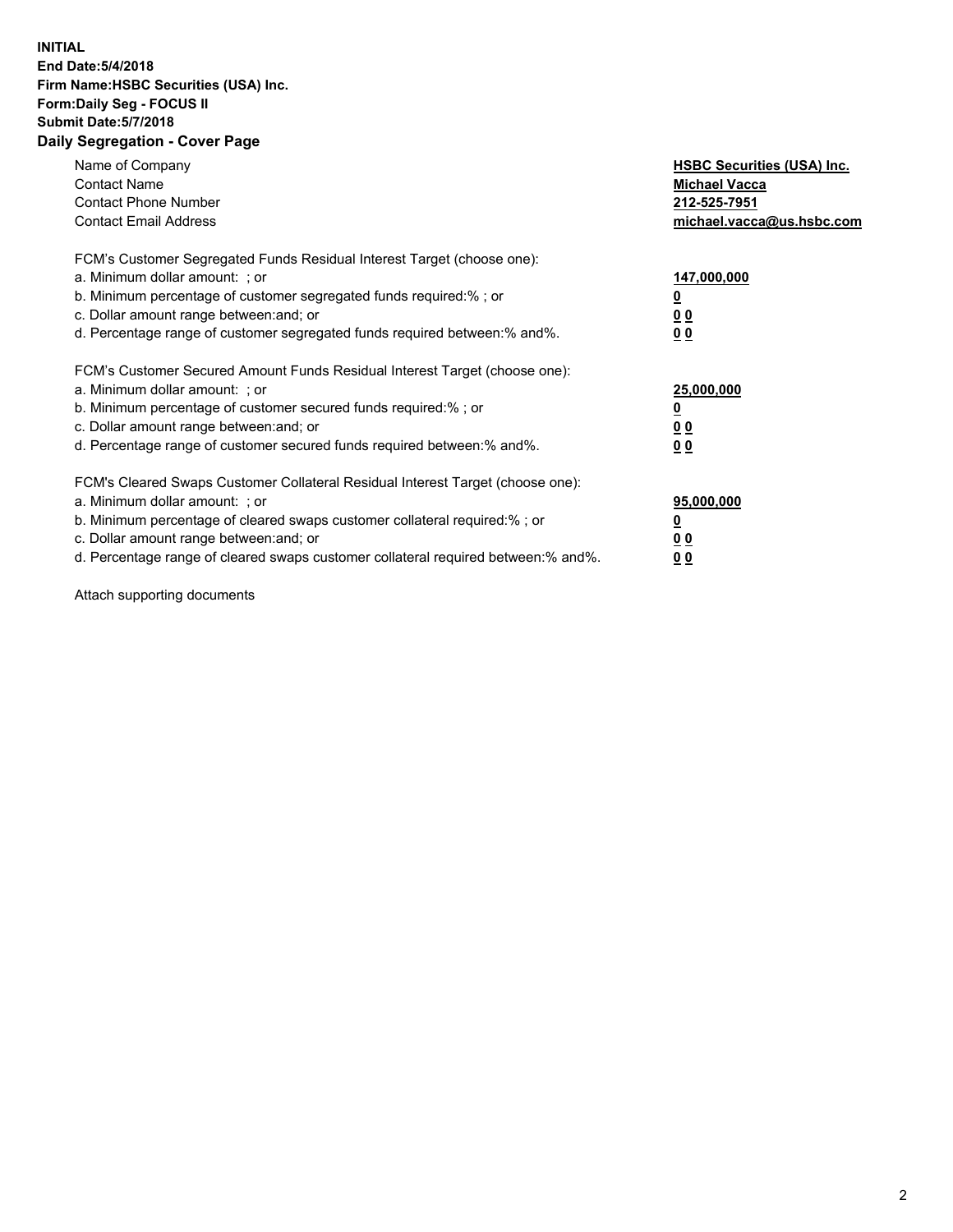## **INITIAL End Date:5/4/2018 Firm Name:HSBC Securities (USA) Inc. Form:Daily Seg - FOCUS II Submit Date:5/7/2018 Daily Segregation - Cover Page**

| Name of Company<br><b>Contact Name</b><br><b>Contact Phone Number</b><br><b>Contact Email Address</b>                                                                                                                                                                                                                          | <b>HSBC Securities (USA) Inc.</b><br><b>Michael Vacca</b><br>212-525-7951<br>michael.vacca@us.hsbc.com |
|--------------------------------------------------------------------------------------------------------------------------------------------------------------------------------------------------------------------------------------------------------------------------------------------------------------------------------|--------------------------------------------------------------------------------------------------------|
| FCM's Customer Segregated Funds Residual Interest Target (choose one):<br>a. Minimum dollar amount: ; or<br>b. Minimum percentage of customer segregated funds required:%; or<br>c. Dollar amount range between: and; or<br>d. Percentage range of customer segregated funds required between: % and %.                        | 147,000,000<br><u>0</u><br><u>00</u><br>0 <sub>0</sub>                                                 |
| FCM's Customer Secured Amount Funds Residual Interest Target (choose one):<br>a. Minimum dollar amount: ; or<br>b. Minimum percentage of customer secured funds required:%; or<br>c. Dollar amount range between: and; or<br>d. Percentage range of customer secured funds required between:% and%.                            | 25,000,000<br><u>0</u><br><u>00</u><br>00                                                              |
| FCM's Cleared Swaps Customer Collateral Residual Interest Target (choose one):<br>a. Minimum dollar amount: ; or<br>b. Minimum percentage of cleared swaps customer collateral required:% ; or<br>c. Dollar amount range between: and; or<br>d. Percentage range of cleared swaps customer collateral required between:% and%. | 95,000,000<br><u>0</u><br><u>00</u><br><u>00</u>                                                       |

Attach supporting documents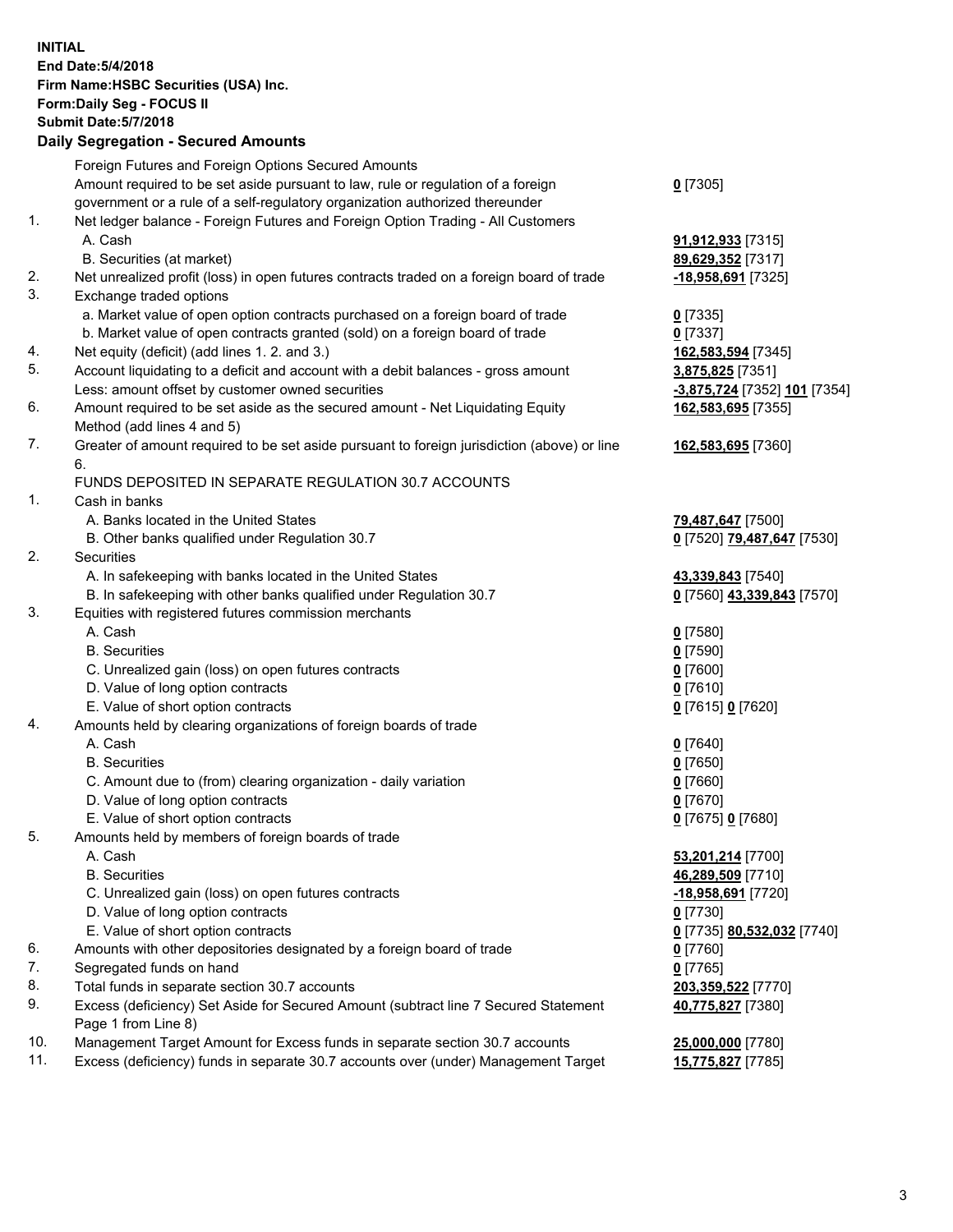**INITIAL End Date:5/4/2018 Firm Name:HSBC Securities (USA) Inc. Form:Daily Seg - FOCUS II Submit Date:5/7/2018 Daily Segregation - Secured Amounts** Foreign Futures and Foreign Options Secured Amounts Amount required to be set aside pursuant to law, rule or regulation of a foreign government or a rule of a self-regulatory organization authorized thereunder **0** [7305] 1. Net ledger balance - Foreign Futures and Foreign Option Trading - All Customers A. Cash **91,912,933** [7315] B. Securities (at market) **89,629,352** [7317] 2. Net unrealized profit (loss) in open futures contracts traded on a foreign board of trade **-18,958,691** [7325] 3. Exchange traded options a. Market value of open option contracts purchased on a foreign board of trade **0** [7335] b. Market value of open contracts granted (sold) on a foreign board of trade **0** [7337] 4. Net equity (deficit) (add lines 1. 2. and 3.) **162,583,594** [7345] 5. Account liquidating to a deficit and account with a debit balances - gross amount **3,875,825** [7351] Less: amount offset by customer owned securities **-3,875,724** [7352] **101** [7354] 6. Amount required to be set aside as the secured amount - Net Liquidating Equity Method (add lines 4 and 5) **162,583,695** [7355] 7. Greater of amount required to be set aside pursuant to foreign jurisdiction (above) or line 6. **162,583,695** [7360] FUNDS DEPOSITED IN SEPARATE REGULATION 30.7 ACCOUNTS 1. Cash in banks A. Banks located in the United States **79,487,647** [7500] B. Other banks qualified under Regulation 30.7 **0** [7520] **79,487,647** [7530] 2. Securities A. In safekeeping with banks located in the United States **43,339,843** [7540] B. In safekeeping with other banks qualified under Regulation 30.7 **0** [7560] **43,339,843** [7570] 3. Equities with registered futures commission merchants A. Cash **0** [7580] B. Securities **0** [7590] C. Unrealized gain (loss) on open futures contracts **0** [7600] D. Value of long option contracts **0** [7610] E. Value of short option contracts **0** [7615] **0** [7620] 4. Amounts held by clearing organizations of foreign boards of trade A. Cash **0** [7640] B. Securities **0** [7650] C. Amount due to (from) clearing organization - daily variation **0** [7660] D. Value of long option contracts **0** [7670] E. Value of short option contracts **0** [7675] **0** [7680] 5. Amounts held by members of foreign boards of trade A. Cash **53,201,214** [7700] B. Securities **46,289,509** [7710] C. Unrealized gain (loss) on open futures contracts **-18,958,691** [7720] D. Value of long option contracts **0** [7730] E. Value of short option contracts **0** [7735] **80,532,032** [7740] 6. Amounts with other depositories designated by a foreign board of trade **0** [7760] 7. Segregated funds on hand **0** [7765] 8. Total funds in separate section 30.7 accounts **203,359,522** [7770] 9. Excess (deficiency) Set Aside for Secured Amount (subtract line 7 Secured Statement Page 1 from Line 8) **40,775,827** [7380] 10. Management Target Amount for Excess funds in separate section 30.7 accounts **25,000,000** [7780] 11. Excess (deficiency) funds in separate 30.7 accounts over (under) Management Target **15,775,827** [7785]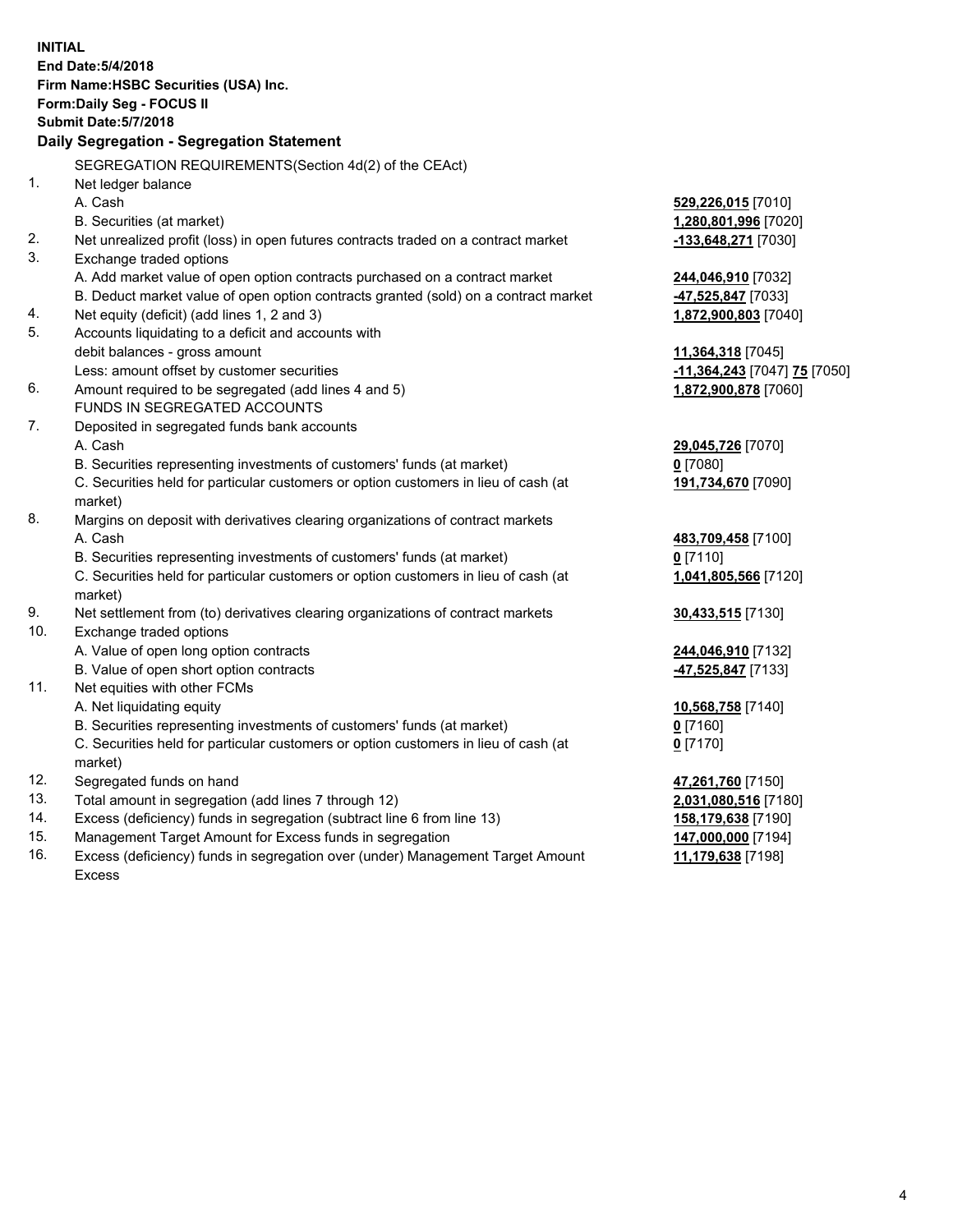| <b>INITIAL</b> | End Date: 5/4/2018<br>Firm Name: HSBC Securities (USA) Inc.<br><b>Form:Daily Seg - FOCUS II</b><br><b>Submit Date: 5/7/2018</b><br>Daily Segregation - Segregation Statement |                              |
|----------------|------------------------------------------------------------------------------------------------------------------------------------------------------------------------------|------------------------------|
|                |                                                                                                                                                                              |                              |
| 1.             | SEGREGATION REQUIREMENTS(Section 4d(2) of the CEAct)                                                                                                                         |                              |
|                | Net ledger balance<br>A. Cash                                                                                                                                                |                              |
|                |                                                                                                                                                                              | 529,226,015 [7010]           |
| 2.             | B. Securities (at market)<br>Net unrealized profit (loss) in open futures contracts traded on a contract market                                                              | 1,280,801,996 [7020]         |
| 3.             | Exchange traded options                                                                                                                                                      | <u>-133,648,271</u> [7030]   |
|                | A. Add market value of open option contracts purchased on a contract market                                                                                                  | <u>244,046,910</u> [7032]    |
|                | B. Deduct market value of open option contracts granted (sold) on a contract market                                                                                          | 47,525,847 [7033]            |
| 4.             | Net equity (deficit) (add lines 1, 2 and 3)                                                                                                                                  | 1,872,900,803 [7040]         |
| 5.             | Accounts liquidating to a deficit and accounts with                                                                                                                          |                              |
|                | debit balances - gross amount                                                                                                                                                | 11,364,318 [7045]            |
|                | Less: amount offset by customer securities                                                                                                                                   | -11,364,243 [7047] 75 [7050] |
| 6.             | Amount required to be segregated (add lines 4 and 5)                                                                                                                         | 1,872,900,878 [7060]         |
|                | FUNDS IN SEGREGATED ACCOUNTS                                                                                                                                                 |                              |
| 7.             | Deposited in segregated funds bank accounts                                                                                                                                  |                              |
|                | A. Cash                                                                                                                                                                      | 29,045,726 [7070]            |
|                | B. Securities representing investments of customers' funds (at market)                                                                                                       | 0 [7080]                     |
|                | C. Securities held for particular customers or option customers in lieu of cash (at                                                                                          | 191,734,670 [7090]           |
|                | market)                                                                                                                                                                      |                              |
| 8.             | Margins on deposit with derivatives clearing organizations of contract markets                                                                                               |                              |
|                | A. Cash                                                                                                                                                                      | 483,709,458 [7100]           |
|                | B. Securities representing investments of customers' funds (at market)                                                                                                       | $0$ [7110]                   |
|                | C. Securities held for particular customers or option customers in lieu of cash (at                                                                                          | 1,041,805,566 [7120]         |
|                | market)                                                                                                                                                                      |                              |
| 9.             | Net settlement from (to) derivatives clearing organizations of contract markets                                                                                              | 30,433,515 [7130]            |
| 10.            | Exchange traded options                                                                                                                                                      |                              |
|                | A. Value of open long option contracts                                                                                                                                       | 244,046,910 [7132]           |
|                | B. Value of open short option contracts                                                                                                                                      | 47,525,847 [7133]            |
| 11.            | Net equities with other FCMs                                                                                                                                                 |                              |
|                | A. Net liquidating equity                                                                                                                                                    | 10,568,758 [7140]            |
|                | B. Securities representing investments of customers' funds (at market)                                                                                                       | $0$ [7160]                   |
|                | C. Securities held for particular customers or option customers in lieu of cash (at                                                                                          | $0$ [7170]                   |
|                | market)                                                                                                                                                                      |                              |
| 12.            | Segregated funds on hand                                                                                                                                                     | 47,261,760 [7150]            |
| 13.            | Total amount in segregation (add lines 7 through 12)                                                                                                                         | 2,031,080,516 [7180]         |
| 14.            | Excess (deficiency) funds in segregation (subtract line 6 from line 13)                                                                                                      | <u>158,179,638</u> [7190]    |
| 15.            | Management Target Amount for Excess funds in segregation                                                                                                                     | 147,000,000 [7194]           |

16. Excess (deficiency) funds in segregation over (under) Management Target Amount Excess

ا<sup>194</sup>ا <u>11,179,638</u> [7198]